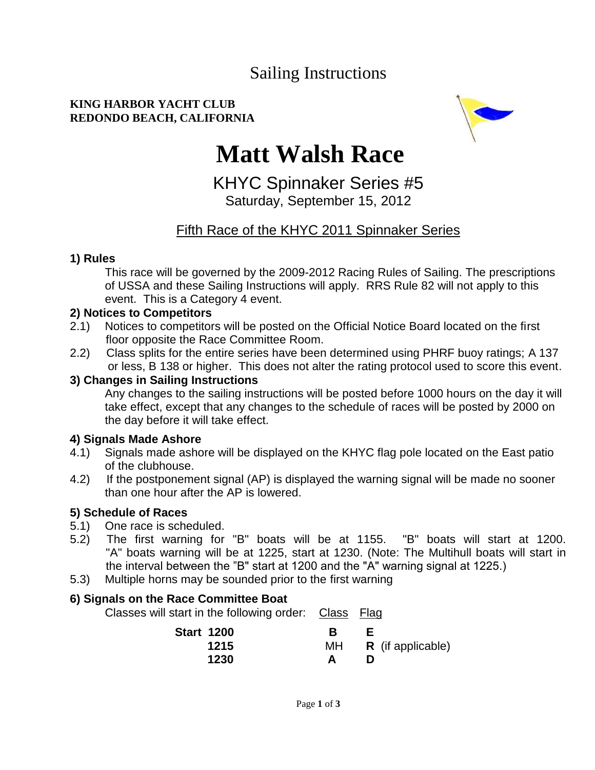## Sailing Instructions

#### **KING HARBOR YACHT CLUB REDONDO BEACH, CALIFORNIA**



# **Matt Walsh Race**

KHYC Spinnaker Series #5 Saturday, September 15, 2012

### Fifth Race of the KHYC 2011 Spinnaker Series

#### **1) Rules**

This race will be governed by the 2009-2012 Racing Rules of Sailing. The prescriptions of USSA and these Sailing Instructions will apply. RRS Rule 82 will not apply to this event. This is a Category 4 event.

#### **2) Notices to Competitors**

- 2.1) Notices to competitors will be posted on the Official Notice Board located on the first floor opposite the Race Committee Room.
- 2.2) Class splits for the entire series have been determined using PHRF buoy ratings; A 137 or less, B 138 or higher. This does not alter the rating protocol used to score this event.

#### **3) Changes in Sailing Instructions**

Any changes to the sailing instructions will be posted before 1000 hours on the day it will take effect, except that any changes to the schedule of races will be posted by 2000 on the day before it will take effect.

#### **4) Signals Made Ashore**

- 4.1) Signals made ashore will be displayed on the KHYC flag pole located on the East patio of the clubhouse.
- 4.2) If the postponement signal (AP) is displayed the warning signal will be made no sooner than one hour after the AP is lowered.

#### **5) Schedule of Races**

- 5.1) One race is scheduled.
- 5.2) The first warning for "B" boats will be at 1155. "B" boats will start at 1200. "A" boats warning will be at 1225, start at 1230. (Note: The Multihull boats will start in the interval between the "B" start at 1200 and the "A" warning signal at 1225.)
- 5.3) Multiple horns may be sounded prior to the first warning

#### **6) Signals on the Race Committee Boat**

Classes will start in the following order: Class Flag

| <b>Start 1200</b> |     |                          |
|-------------------|-----|--------------------------|
| 1215              | MH. | <b>R</b> (if applicable) |
| 1230              |     |                          |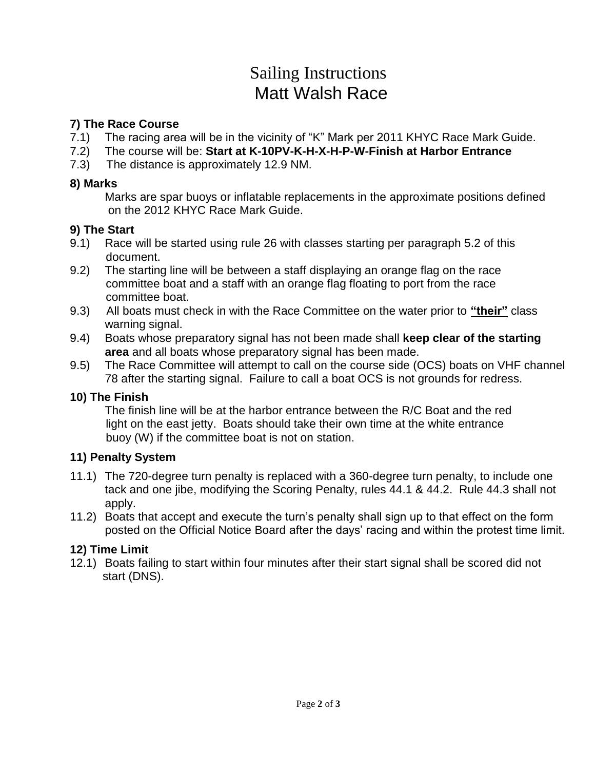## Sailing Instructions Matt Walsh Race

#### **7) The Race Course**

- 7.1) The racing area will be in the vicinity of "K" Mark per 2011 KHYC Race Mark Guide.
- 7.2) The course will be: **Start at K-10PV-K-H-X-H-P-W-Finish at Harbor Entrance**
- 7.3) The distance is approximately 12.9 NM.

#### **8) Marks**

Marks are spar buoys or inflatable replacements in the approximate positions defined on the 2012 KHYC Race Mark Guide.

#### **9) The Start**

- 9.1) Race will be started using rule 26 with classes starting per paragraph 5.2 of this document.
- 9.2) The starting line will be between a staff displaying an orange flag on the race committee boat and a staff with an orange flag floating to port from the race committee boat.
- 9.3) All boats must check in with the Race Committee on the water prior to **"their"** class warning signal.
- 9.4) Boats whose preparatory signal has not been made shall **keep clear of the starting area** and all boats whose preparatory signal has been made.
- 9.5) The Race Committee will attempt to call on the course side (OCS) boats on VHF channel 78 after the starting signal. Failure to call a boat OCS is not grounds for redress.

#### **10) The Finish**

The finish line will be at the harbor entrance between the R/C Boat and the red light on the east jetty. Boats should take their own time at the white entrance buoy (W) if the committee boat is not on station.

#### **11) Penalty System**

- 11.1) The 720-degree turn penalty is replaced with a 360-degree turn penalty, to include one tack and one jibe, modifying the Scoring Penalty, rules 44.1 & 44.2. Rule 44.3 shall not apply.
- 11.2) Boats that accept and execute the turn's penalty shall sign up to that effect on the form posted on the Official Notice Board after the days' racing and within the protest time limit.

#### **12) Time Limit**

12.1) Boats failing to start within four minutes after their start signal shall be scored did not start (DNS).